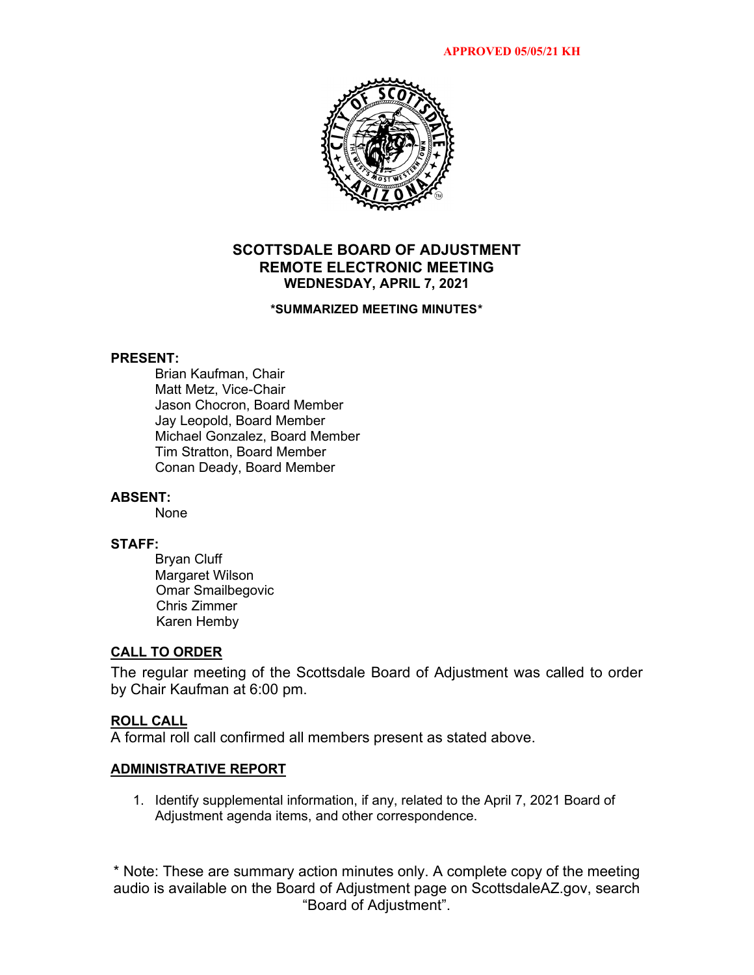

# **SCOTTSDALE BOARD OF ADJUSTMENT REMOTE ELECTRONIC MEETING WEDNESDAY, APRIL 7, 2021**

#### **\*SUMMARIZED MEETING MINUTES\***

### **PRESENT:**

Brian Kaufman, Chair Matt Metz, Vice-Chair Jason Chocron, Board Member Jay Leopold, Board Member Michael Gonzalez, Board Member Tim Stratton, Board Member Conan Deady, Board Member

### **ABSENT:**

None

### **STAFF:**

Bryan Cluff Margaret Wilson Omar Smailbegovic Chris Zimmer Karen Hemby

#### **CALL TO ORDER**

The regular meeting of the Scottsdale Board of Adjustment was called to order by Chair Kaufman at 6:00 pm.

### **ROLL CALL**

A formal roll call confirmed all members present as stated above.

#### **ADMINISTRATIVE REPORT**

1. Identify supplemental information, if any, related to the April 7, 2021 Board of Adjustment agenda items, and other correspondence.

\* Note: These are summary action minutes only. A complete copy of the meeting audio is available on the Board of Adjustment page on ScottsdaleAZ.gov, search "Board of Adjustment".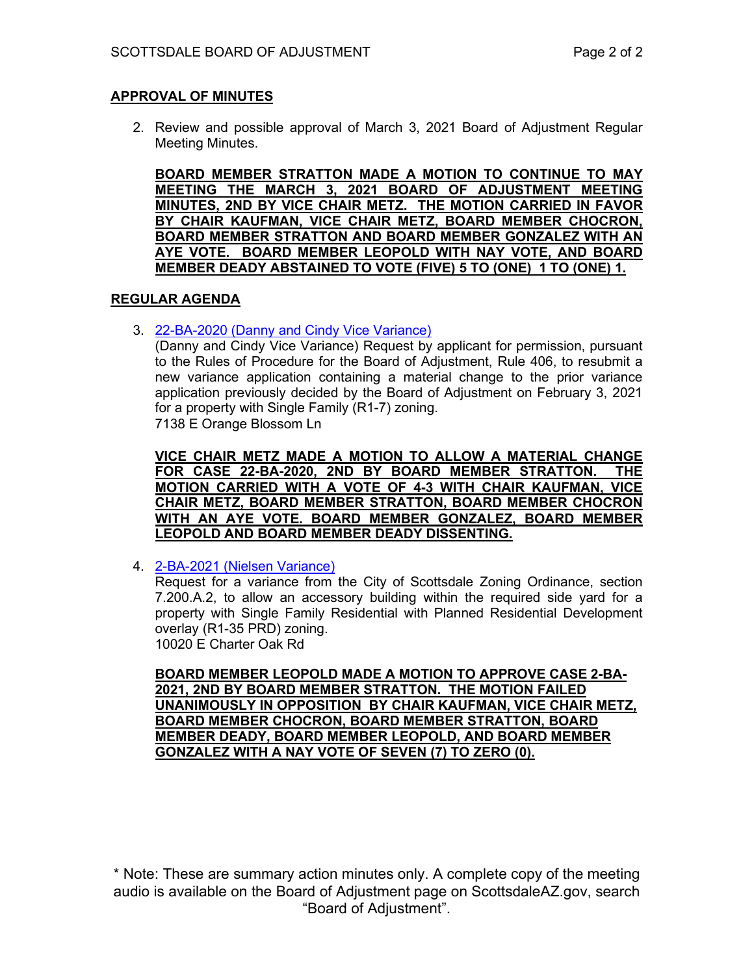## **APPROVAL OF MINUTES**

2. Review and possible approval of March 3, 2021 Board of Adjustment Regular Meeting Minutes.

**BOARD MEMBER STRATTON MADE A MOTION TO CONTINUE TO MAY MEETING THE MARCH 3, 2021 BOARD OF ADJUSTMENT MEETING MINUTES, 2ND BY VICE CHAIR METZ. THE MOTION CARRIED IN FAVOR BY CHAIR KAUFMAN, VICE CHAIR METZ, BOARD MEMBER CHOCRON, BOARD MEMBER STRATTON AND BOARD MEMBER GONZALEZ WITH AN AYE VOTE. BOARD MEMBER LEOPOLD WITH NAY VOTE, AND BOARD MEMBER DEADY ABSTAINED TO VOTE (FIVE) 5 TO (ONE) 1 TO (ONE) 1.**

### **REGULAR AGENDA**

3. [22-BA-2020 \(Danny and Cindy Vice Variance\)](https://eservices.scottsdaleaz.gov/planning/projectsummary/ba_reports/BA_22_BA_2020.pdf)

(Danny and Cindy Vice Variance) Request by applicant for permission, pursuant to the Rules of Procedure for the Board of Adjustment, Rule 406, to resubmit a new variance application containing a material change to the prior variance application previously decided by the Board of Adjustment on February 3, 2021 for a property with Single Family (R1-7) zoning. 7138 E Orange Blossom Ln

**VICE CHAIR METZ MADE A MOTION TO ALLOW A MATERIAL CHANGE FOR CASE 22-BA-2020, 2ND BY BOARD MEMBER STRATTON. THE MOTION CARRIED WITH A VOTE OF 4-3 WITH CHAIR KAUFMAN, VICE CHAIR METZ, BOARD MEMBER STRATTON, BOARD MEMBER CHOCRON WITH AN AYE VOTE. BOARD MEMBER GONZALEZ, BOARD MEMBER LEOPOLD AND BOARD MEMBER DEADY DISSENTING.**

4. [2-BA-2021 \(Nielsen Variance\)](https://eservices.scottsdaleaz.gov/planning/projectsummary/ba_reports/BA_2_BA_2021.pdf)

Request for a variance from the City of Scottsdale Zoning Ordinance, section 7.200.A.2, to allow an accessory building within the required side yard for a property with Single Family Residential with Planned Residential Development overlay (R1-35 PRD) zoning. 10020 E Charter Oak Rd

**BOARD MEMBER LEOPOLD MADE A MOTION TO APPROVE CASE 2-BA-2021, 2ND BY BOARD MEMBER STRATTON. THE MOTION FAILED UNANIMOUSLY IN OPPOSITION BY CHAIR KAUFMAN, VICE CHAIR METZ, BOARD MEMBER CHOCRON, BOARD MEMBER STRATTON, BOARD MEMBER DEADY, BOARD MEMBER LEOPOLD, AND BOARD MEMBER GONZALEZ WITH A NAY VOTE OF SEVEN (7) TO ZERO (0).** 

\* Note: These are summary action minutes only. A complete copy of the meeting audio is available on the Board of Adjustment page on ScottsdaleAZ.gov, search "Board of Adjustment".